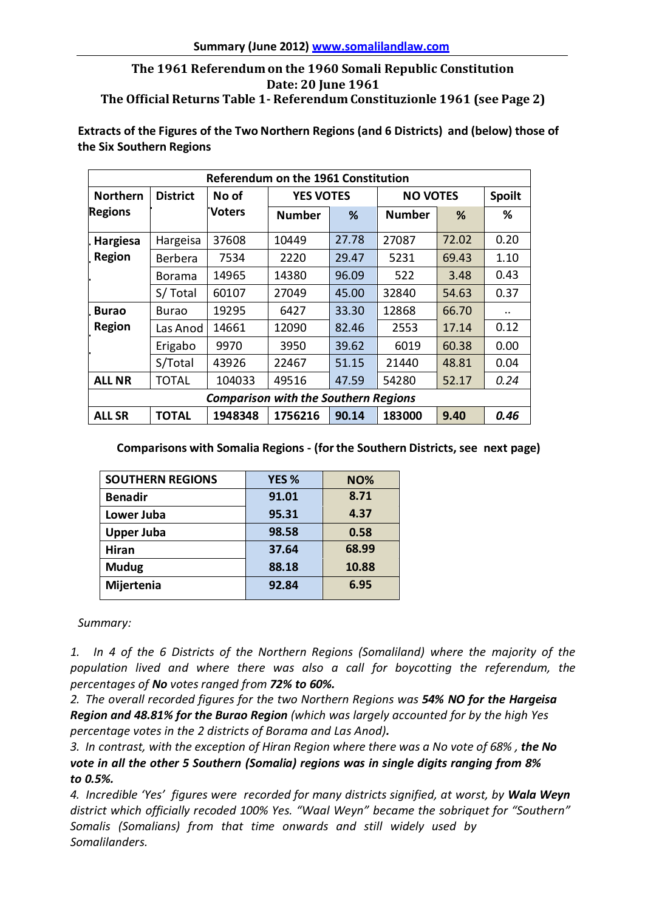## **The 1961 Referendum on the 1960 Somali Republic Constitution Date: 20 June 1961 The Official Returns Table 1- Referendum Constituzionle 1961 (see Page 2)**

**Extracts of the Figures of the Two Northern Regions (and 6 Districts) and (below) those of the Six Southern Regions**

| Referendum on the 1961 Constitution |                 |                                             |                  |       |                 |       |               |  |  |
|-------------------------------------|-----------------|---------------------------------------------|------------------|-------|-----------------|-------|---------------|--|--|
| <b>Northern</b>                     | <b>District</b> | No of                                       | <b>YES VOTES</b> |       | <b>NO VOTES</b> |       | <b>Spoilt</b> |  |  |
| <b>Regions</b>                      |                 | <b>Voters</b>                               | <b>Number</b>    | %     | <b>Number</b>   | ℅     | ℅             |  |  |
| . Hargiesa                          | Hargeisa        | 37608                                       | 10449            | 27.78 | 27087           | 72.02 | 0.20          |  |  |
| Region                              | <b>Berbera</b>  | 7534                                        | 2220             | 29.47 | 5231            | 69.43 | 1.10          |  |  |
|                                     | <b>Borama</b>   | 14965                                       | 14380            | 96.09 | 522             | 3.48  | 0.43          |  |  |
|                                     | S/Total         | 60107                                       | 27049            | 45.00 | 32840           | 54.63 | 0.37          |  |  |
| <b>Burao</b>                        | Burao           | 19295                                       | 6427             | 33.30 | 12868           | 66.70 | $\cdot$ .     |  |  |
| <b>Region</b>                       | Las Anod        | 14661                                       | 12090            | 82.46 | 2553            | 17.14 | 0.12          |  |  |
|                                     | Erigabo         | 9970                                        | 3950             | 39.62 | 6019            | 60.38 | 0.00          |  |  |
|                                     | S/Total         | 43926                                       | 22467            | 51.15 | 21440           | 48.81 | 0.04          |  |  |
| <b>ALL NR</b>                       | <b>TOTAL</b>    | 104033                                      | 49516            | 47.59 | 54280           | 52.17 | 0.24          |  |  |
|                                     |                 | <b>Comparison with the Southern Regions</b> |                  |       |                 |       |               |  |  |
| <b>ALL SR</b>                       | <b>TOTAL</b>    | 1948348                                     | 1756216          | 90.14 | 183000          | 9.40  | 0.46          |  |  |

**Comparisons with Somalia Regions - (for the Southern Districts, see next page)**

| <b>SOUTHERN REGIONS</b> | YES <sub>%</sub> | <b>NO%</b> |  |
|-------------------------|------------------|------------|--|
| <b>Benadir</b>          | 91.01            | 8.71       |  |
| Lower Juba              | 95.31            | 4.37       |  |
| <b>Upper Juba</b>       | 98.58            | 0.58       |  |
| Hiran                   | 37.64            | 68.99      |  |
| <b>Mudug</b>            | 88.18            | 10.88      |  |
| Mijertenia              | 92.84            | 6.95       |  |
|                         |                  |            |  |

*Summary:*

*1. In 4 of the 6 Districts of the Northern Regions (Somaliland) where the majority of the population lived and where there was also a call for boycotting the referendum, the percentages of No votesranged from 72% to 60%.*

*2. The overall recorded figures for the two Northern Regions was 54% NO for the Hargeisa Region and 48.81% for the Burao Region (which was largely accounted for by the high Yes percentage votes in the 2 districts of Borama and Las Anod).*

*3. In contrast, with the exception of Hiran Region where there was a No vote of 68% , the No vote in all the other 5 Southern (Somalia) regions was in single digits ranging from 8% to 0.5%.*

*4. Incredible 'Yes' figures were recorded for many districts signified, at worst, by Wala Weyn district which officially recoded 100% Yes. "Waal Weyn" became the sobriquet for "Southern" Somalis (Somalians) from that time onwards and still widely used by Somalilanders.*